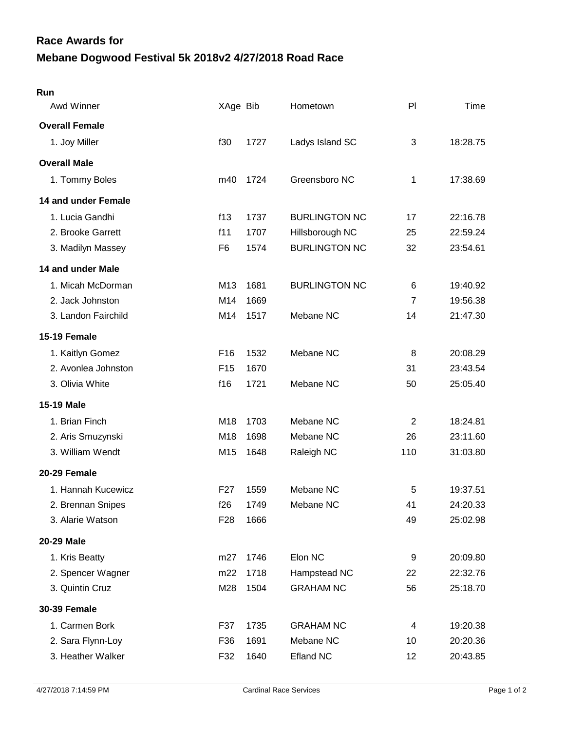## **Mebane Dogwood Festival 5k 2018v2 4/27/2018 Road Race Race Awards for**

| Run                   |                 |      |                      |                |          |
|-----------------------|-----------------|------|----------------------|----------------|----------|
| Awd Winner            | XAge Bib        |      | Hometown             | PI             | Time     |
| <b>Overall Female</b> |                 |      |                      |                |          |
| 1. Joy Miller         | f30             | 1727 | Ladys Island SC      | 3              | 18:28.75 |
| <b>Overall Male</b>   |                 |      |                      |                |          |
| 1. Tommy Boles        | m40             | 1724 | Greensboro NC        | 1              | 17:38.69 |
| 14 and under Female   |                 |      |                      |                |          |
| 1. Lucia Gandhi       | f13             | 1737 | <b>BURLINGTON NC</b> | 17             | 22:16.78 |
| 2. Brooke Garrett     | f11             | 1707 | Hillsborough NC      | 25             | 22:59.24 |
| 3. Madilyn Massey     | F <sub>6</sub>  | 1574 | <b>BURLINGTON NC</b> | 32             | 23:54.61 |
| 14 and under Male     |                 |      |                      |                |          |
| 1. Micah McDorman     | M13             | 1681 | <b>BURLINGTON NC</b> | 6              | 19:40.92 |
| 2. Jack Johnston      | M14             | 1669 |                      | $\overline{7}$ | 19:56.38 |
| 3. Landon Fairchild   | M14             | 1517 | Mebane NC            | 14             | 21:47.30 |
| 15-19 Female          |                 |      |                      |                |          |
| 1. Kaitlyn Gomez      | F <sub>16</sub> | 1532 | Mebane NC            | 8              | 20:08.29 |
| 2. Avonlea Johnston   | F <sub>15</sub> | 1670 |                      | 31             | 23:43.54 |
| 3. Olivia White       | f16             | 1721 | Mebane NC            | 50             | 25:05.40 |
| <b>15-19 Male</b>     |                 |      |                      |                |          |
| 1. Brian Finch        | M18             | 1703 | Mebane NC            | $\overline{2}$ | 18:24.81 |
| 2. Aris Smuzynski     | M18             | 1698 | Mebane NC            | 26             | 23:11.60 |
| 3. William Wendt      | M15             | 1648 | Raleigh NC           | 110            | 31:03.80 |
| 20-29 Female          |                 |      |                      |                |          |
| 1. Hannah Kucewicz    | F <sub>27</sub> | 1559 | Mebane NC            | 5              | 19:37.51 |
| 2. Brennan Snipes     | f26             | 1749 | Mebane NC            | 41             | 24:20.33 |
| 3. Alarie Watson      | F <sub>28</sub> | 1666 |                      | 49             | 25:02.98 |
| <b>20-29 Male</b>     |                 |      |                      |                |          |
| 1. Kris Beatty        | m27             | 1746 | Elon NC              | 9              | 20:09.80 |
| 2. Spencer Wagner     | m22             | 1718 | Hampstead NC         | 22             | 22:32.76 |
| 3. Quintin Cruz       | M28             | 1504 | <b>GRAHAM NC</b>     | 56             | 25:18.70 |
| <b>30-39 Female</b>   |                 |      |                      |                |          |
| 1. Carmen Bork        | F37             | 1735 | <b>GRAHAM NC</b>     | 4              | 19:20.38 |
| 2. Sara Flynn-Loy     | F36             | 1691 | Mebane NC            | 10             | 20:20.36 |
| 3. Heather Walker     | F32             | 1640 | <b>Efland NC</b>     | 12             | 20:43.85 |